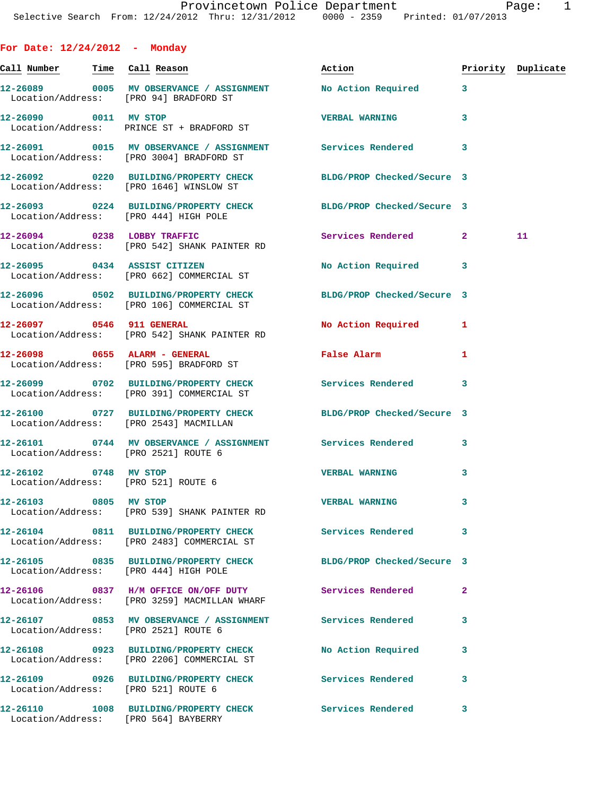|  |  | For Date: 12/24/2012 |  | Monday |
|--|--|----------------------|--|--------|
|--|--|----------------------|--|--------|

| Call Number Time Call Reason        |                                                                                                               | Action                                              |   | Priority Duplicate |
|-------------------------------------|---------------------------------------------------------------------------------------------------------------|-----------------------------------------------------|---|--------------------|
|                                     | 12-26089 0005 MV OBSERVANCE / ASSIGNMENT No Action Required 3<br>Location/Address: [PRO 94] BRADFORD ST       |                                                     |   |                    |
|                                     | 12-26090 0011 MV STOP<br>Location/Address: PRINCE ST + BRADFORD ST                                            | <b>VERBAL WARNING</b>                               | 3 |                    |
|                                     | 12-26091 0015 MV OBSERVANCE / ASSIGNMENT Services Rendered<br>Location/Address: [PRO 3004] BRADFORD ST        |                                                     | 3 |                    |
|                                     | 12-26092 0220 BUILDING/PROPERTY CHECK BLDG/PROP Checked/Secure 3<br>Location/Address: [PRO 1646] WINSLOW ST   |                                                     |   |                    |
|                                     | 12-26093 0224 BUILDING/PROPERTY CHECK BLDG/PROP Checked/Secure 3<br>Location/Address: [PRO 444] HIGH POLE     |                                                     |   |                    |
|                                     | 12-26094 0238 LOBBY TRAFFIC<br>Location/Address: [PRO 542] SHANK PAINTER RD                                   | Services Rendered 2                                 |   | 11                 |
|                                     | 12-26095 0434 ASSIST CITIZEN<br>Location/Address: [PRO 662] COMMERCIAL ST                                     | No Action Required 3                                |   |                    |
|                                     | 12-26096 0502 BUILDING/PROPERTY CHECK BLDG/PROP Checked/Secure 3<br>Location/Address: [PRO 106] COMMERCIAL ST |                                                     |   |                    |
| 12-26097 0546 911 GENERAL           | Location/Address: [PRO 542] SHANK PAINTER RD                                                                  | No Action Required 1                                |   |                    |
|                                     | 12-26098 0655 ALARM - GENERAL<br>Location/Address: [PRO 595] BRADFORD ST                                      | False Alarm <b>Exercise Service Service Service</b> | 1 |                    |
|                                     | 12-26099 0702 BUILDING/PROPERTY CHECK Services Rendered<br>Location/Address: [PRO 391] COMMERCIAL ST          |                                                     | 3 |                    |
|                                     | 12-26100 0727 BUILDING/PROPERTY CHECK BLDG/PROP Checked/Secure 3<br>Location/Address: [PRO 2543] MACMILLAN    |                                                     |   |                    |
|                                     | 12-26101 0744 MV OBSERVANCE / ASSIGNMENT Services Rendered<br>Location/Address: [PRO 2521] ROUTE 6            |                                                     | 3 |                    |
| 12-26102 0748 MV STOP               | Location/Address: [PRO 521] ROUTE 6                                                                           | <b>VERBAL WARNING</b>                               | 3 |                    |
| 12-26103 0805 MV STOP               | Location/Address: [PRO 539] SHANK PAINTER RD                                                                  | <b>VERBAL WARNING</b>                               | 3 |                    |
|                                     | 12-26104 0811 BUILDING/PROPERTY CHECK<br>Location/Address: [PRO 2483] COMMERCIAL ST                           | <b>Services Rendered</b>                            | 3 |                    |
|                                     | 12-26105 0835 BUILDING/PROPERTY CHECK<br>Location/Address: [PRO 444] HIGH POLE                                | BLDG/PROP Checked/Secure 3                          |   |                    |
|                                     | 12-26106 0837 H/M OFFICE ON/OFF DUTY<br>Location/Address: [PRO 3259] MACMILLAN WHARF                          | <b>Services Rendered</b>                            | 2 |                    |
|                                     | 12-26107 0853 MV OBSERVANCE / ASSIGNMENT<br>Location/Address: [PRO 2521] ROUTE 6                              | Services Rendered                                   | 3 |                    |
|                                     | 12-26108 0923 BUILDING/PROPERTY CHECK<br>Location/Address: [PRO 2206] COMMERCIAL ST                           | No Action Required                                  | 3 |                    |
| Location/Address: [PRO 521] ROUTE 6 | 12-26109 0926 BUILDING/PROPERTY CHECK                                                                         | <b>Services Rendered</b>                            | 3 |                    |
|                                     | 12-26110 1008 BUILDING/PROPERTY CHECK<br>Location/Address: [PRO 564] BAYBERRY                                 | <b>Services Rendered</b>                            | 3 |                    |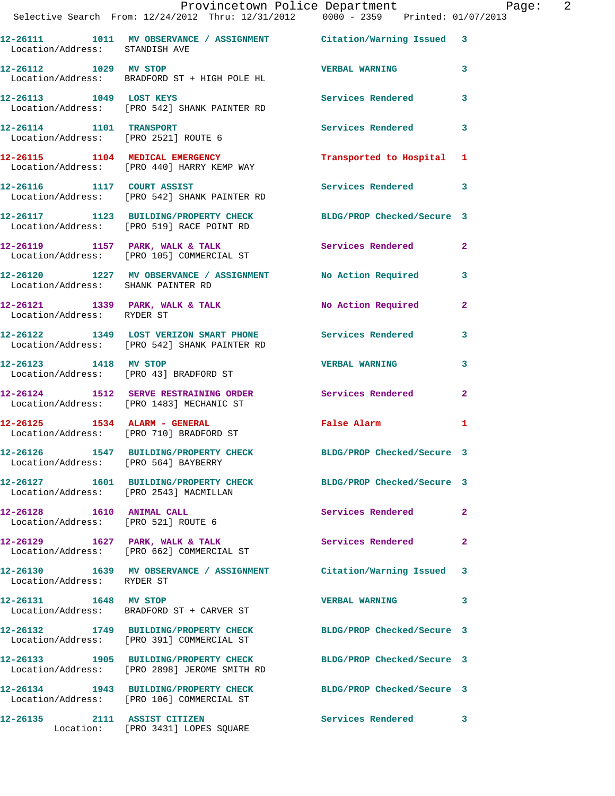|                                                                  | Provincetown Police Department Page: 2<br>Selective Search From: 12/24/2012 Thru: 12/31/2012  0000 - 2359  Printed: 01/07/2013 |                            |              |
|------------------------------------------------------------------|--------------------------------------------------------------------------------------------------------------------------------|----------------------------|--------------|
| Location/Address: STANDISH AVE                                   | 12-26111 1011 MV OBSERVANCE / ASSIGNMENT Citation/Warning Issued 3                                                             |                            |              |
| 12-26112 1029 MV STOP                                            | Location/Address: BRADFORD ST + HIGH POLE HL                                                                                   | <b>VERBAL WARNING</b> 3    |              |
|                                                                  | 12-26113 1049 LOST KEYS<br>Location/Address: [PRO 542] SHANK PAINTER RD                                                        | Services Rendered 3        |              |
|                                                                  | 12-26114 1101 TRANSPORT Services Rendered 3<br>Location/Address: [PRO 2521] ROUTE 6                                            |                            |              |
|                                                                  | 12-26115 1104 MEDICAL EMERGENCY<br>Location/Address: [PRO 440] HARRY KEMP WAY                                                  | Transported to Hospital 1  |              |
|                                                                  | 12-26116 1117 COURT ASSIST<br>Location/Address: [PRO 542] SHANK PAINTER RD                                                     | Services Rendered 3        |              |
|                                                                  | 12-26117   1123   BUILDING/PROPERTY CHECK   BLDG/PROP Checked/Secure   3<br>Location/Address: [PRO 519] RACE POINT RD          |                            |              |
|                                                                  | 12-26119 1157 PARK, WALK & TALK Services Rendered<br>Location/Address: [PRO 105] COMMERCIAL ST                                 |                            | $\mathbf{2}$ |
| Location/Address: SHANK PAINTER RD                               | 12-26120 1227 MV OBSERVANCE / ASSIGNMENT No Action Required 3                                                                  |                            |              |
| Location/Address: RYDER ST                                       | 12-26121 1339 PARK, WALK & TALK NO Action Required 2                                                                           |                            |              |
|                                                                  | 12-26122 1349 LOST VERIZON SMART PHONE Services Rendered 3<br>Location/Address: [PRO 542] SHANK PAINTER RD                     |                            |              |
|                                                                  | 12-26123 1418 MV STOP<br>Location/Address: [PRO 43] BRADFORD ST                                                                | <b>VERBAL WARNING</b>      | 3            |
|                                                                  | 12-26124 1512 SERVE RESTRAINING ORDER Services Rendered 2<br>Location/Address: [PRO 1483] MECHANIC ST                          |                            |              |
|                                                                  | 12-26125 1534 ALARM - GENERAL<br>Location/Address: [PRO 710] BRADFORD ST                                                       | False Alarm                | $\mathbf{1}$ |
| 12-26126<br>Location/Address: [PRO 564] BAYBERRY                 | 1547 BUILDING/PROPERTY CHECK                                                                                                   | BLDG/PROP Checked/Secure 3 |              |
|                                                                  | 12-26127 1601 BUILDING/PROPERTY CHECK BLDG/PROP Checked/Secure 3<br>Location/Address: [PRO 2543] MACMILLAN                     |                            |              |
| 12-26128 1610 ANIMAL CALL<br>Location/Address: [PRO 521] ROUTE 6 |                                                                                                                                | Services Rendered          | -2           |
|                                                                  | 12-26129 1627 PARK, WALK & TALK<br>Location/Address: [PRO 662] COMMERCIAL ST                                                   | Services Rendered          | $\mathbf{2}$ |
| Location/Address: RYDER ST                                       | 12-26130 1639 MV OBSERVANCE / ASSIGNMENT Citation/Warning Issued 3                                                             |                            |              |
| 12-26131 1648 MV STOP                                            | Location/Address: BRADFORD ST + CARVER ST                                                                                      | <b>VERBAL WARNING</b>      | 3            |
|                                                                  | 12-26132 1749 BUILDING/PROPERTY CHECK BLDG/PROP Checked/Secure 3<br>Location/Address: [PRO 391] COMMERCIAL ST                  |                            |              |
|                                                                  | 12-26133 1905 BUILDING/PROPERTY CHECK<br>Location/Address: [PRO 2898] JEROME SMITH RD                                          | BLDG/PROP Checked/Secure 3 |              |
|                                                                  | 12-26134 1943 BUILDING/PROPERTY CHECK BLDG/PROP Checked/Secure 3<br>Location/Address: [PRO 106] COMMERCIAL ST                  |                            |              |
|                                                                  | 12-26135 2111 ASSIST CITIZEN<br>Location: [PRO 3431] LOPES SQUARE                                                              | Services Rendered 3        |              |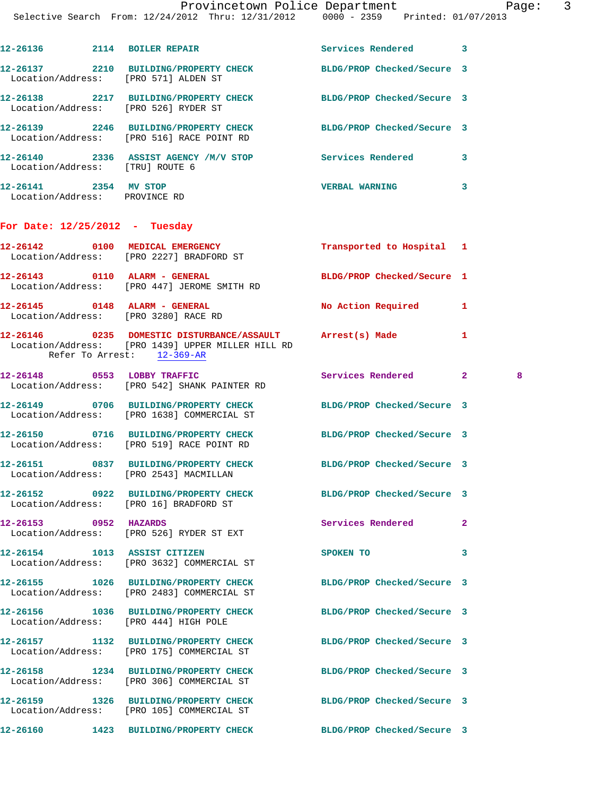|                                                        | Selective Search From: 12/24/2012 Thru: 12/31/2012 0000 - 2359 Printed: 01/07/2013                                                           | Provincetown Police Department | Paq                |
|--------------------------------------------------------|----------------------------------------------------------------------------------------------------------------------------------------------|--------------------------------|--------------------|
|                                                        | 12-26136 2114 BOILER REPAIR                                                                                                                  | Services Rendered 3            |                    |
|                                                        | 12-26137 2210 BUILDING/PROPERTY CHECK BLDG/PROP Checked/Secure 3<br>Location/Address: [PRO 571] ALDEN ST                                     |                                |                    |
|                                                        | 12-26138 2217 BUILDING/PROPERTY CHECK<br>Location/Address: [PRO 526] RYDER ST                                                                | BLDG/PROP Checked/Secure 3     |                    |
|                                                        | 12-26139 2246 BUILDING/PROPERTY CHECK<br>Location/Address: [PRO 516] RACE POINT RD                                                           | BLDG/PROP Checked/Secure 3     |                    |
| Location/Address: [TRU] ROUTE 6                        | 12-26140 2336 ASSIST AGENCY /M/V STOP Services Rendered                                                                                      |                                | 3                  |
| 12-26141 2354 MV STOP<br>Location/Address: PROVINCE RD |                                                                                                                                              | <b>VERBAL WARNING</b>          | 3                  |
| For Date: $12/25/2012$ - Tuesday                       |                                                                                                                                              |                                |                    |
|                                                        | 12-26142 0100 MEDICAL EMERGENCY<br>Location/Address: [PRO 2227] BRADFORD ST                                                                  | Transported to Hospital 1      |                    |
|                                                        | 12-26143 0110 ALARM - GENERAL<br>Location/Address: [PRO 447] JEROME SMITH RD                                                                 | BLDG/PROP Checked/Secure 1     |                    |
|                                                        | 12-26145 0148 ALARM - GENERAL<br>Location/Address: [PRO 3280] RACE RD                                                                        | <b>No Action Required</b>      | 1                  |
|                                                        | 12-26146 0235 DOMESTIC DISTURBANCE/ASSAULT Arrest(s) Made<br>Location/Address: [PRO 1439] UPPER MILLER HILL RD<br>Refer To Arrest: 12-369-AR |                                | 1                  |
|                                                        | 12-26148 0553 LOBBY TRAFFIC<br>Location/Address: [PRO 542] SHANK PAINTER RD                                                                  | Services Rendered              | $\mathbf{2}$<br>-8 |
|                                                        | 12-26149 0706 BUILDING/PROPERTY CHECK<br>Location/Address: [PRO 1638] COMMERCIAL ST                                                          | BLDG/PROP Checked/Secure 3     |                    |
|                                                        | 12-26150 0716 BUILDING/PROPERTY CHECK BLDG/PROP Checked/Secure 3<br>Location/Address: [PRO 519] RACE POINT RD                                |                                |                    |
|                                                        | 12-26151 0837 BUILDING/PROPERTY CHECK BLDG/PROP Checked/Secure 3<br>Location/Address: [PRO 2543] MACMILLAN                                   |                                |                    |
|                                                        | 12-26152 0922 BUILDING/PROPERTY CHECK<br>Location/Address: [PRO 16] BRADFORD ST                                                              | BLDG/PROP Checked/Secure 3     |                    |
| 12-26153 0952 HAZARDS                                  | Location/Address: [PRO 526] RYDER ST EXT                                                                                                     | <b>Services Rendered</b>       | $\mathbf{2}$       |
|                                                        | 12-26154 1013 ASSIST CITIZEN<br>Location/Address: [PRO 3632] COMMERCIAL ST                                                                   | SPOKEN TO                      | 3                  |
|                                                        | 12-26155 1026 BUILDING/PROPERTY CHECK<br>Location/Address: [PRO 2483] COMMERCIAL ST                                                          | BLDG/PROP Checked/Secure 3     |                    |
|                                                        | 12-26156 1036 BUILDING/PROPERTY CHECK<br>Location/Address: [PRO 444] HIGH POLE                                                               | BLDG/PROP Checked/Secure 3     |                    |
|                                                        | 12-26157 1132 BUILDING/PROPERTY CHECK BLDG/PROP Checked/Secure 3<br>Location/Address: [PRO 175] COMMERCIAL ST                                |                                |                    |
|                                                        | 12-26158 1234 BUILDING/PROPERTY CHECK<br>Location/Address: [PRO 306] COMMERCIAL ST                                                           | BLDG/PROP Checked/Secure 3     |                    |

- **12-26159 1326 BUILDING/PROPERTY CHECK BLDG/PROP Checked/Secure 3**  Location/Address: [PRO 105] COMMERCIAL ST
- 
- **12-26160 1423 BUILDING/PROPERTY CHECK BLDG/PROP Checked/Secure 3**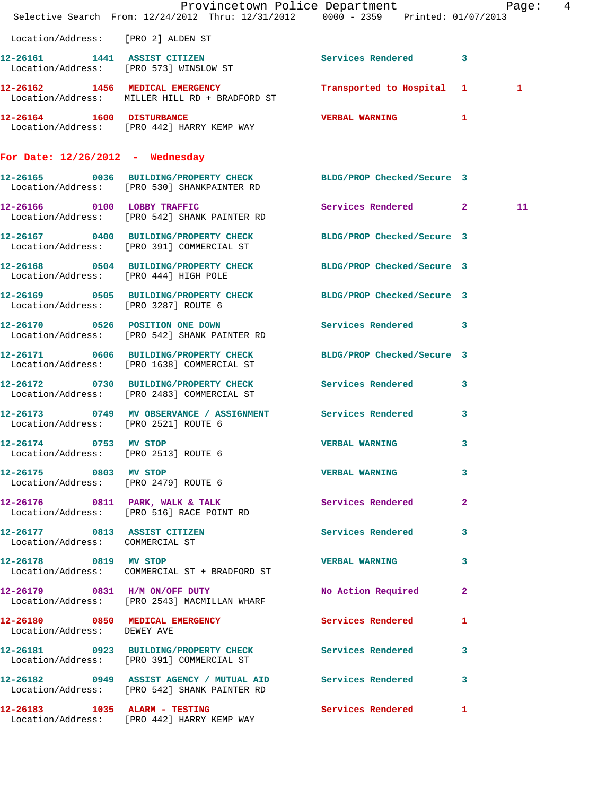|                                                               | Provincetown Police Department Page: 4<br>Selective Search From: 12/24/2012 Thru: 12/31/2012 0000 - 2359 Printed: 01/07/2013 |                            |   |    |  |
|---------------------------------------------------------------|------------------------------------------------------------------------------------------------------------------------------|----------------------------|---|----|--|
| Location/Address: [PRO 2] ALDEN ST                            |                                                                                                                              |                            |   |    |  |
|                                                               | 12-26161 1441 ASSIST CITIZEN<br>Location/Address: [PRO 573] WINSLOW ST                                                       | Services Rendered 3        |   |    |  |
|                                                               | 12-26162 1456 MEDICAL EMERGENCY<br>Location/Address: MILLER HILL RD + BRADFORD ST                                            | Transported to Hospital 1  |   | 1  |  |
| 12-26164 1600 DISTURBANCE                                     | Location/Address: [PRO 442] HARRY KEMP WAY                                                                                   | <b>VERBAL WARNING 1</b>    |   |    |  |
| For Date: $12/26/2012$ - Wednesday                            |                                                                                                                              |                            |   |    |  |
|                                                               | 12-26165 0036 BUILDING/PROPERTY CHECK BLDG/PROP Checked/Secure 3<br>Location/Address: [PRO 530] SHANKPAINTER RD              |                            |   |    |  |
|                                                               | 12-26166 0100 LOBBY TRAFFIC<br>Location/Address: [PRO 542] SHANK PAINTER RD                                                  | Services Rendered 2        |   | 11 |  |
|                                                               | 12-26167 0400 BUILDING/PROPERTY CHECK BLDG/PROP Checked/Secure 3<br>Location/Address: [PRO 391] COMMERCIAL ST                |                            |   |    |  |
|                                                               | 12-26168 0504 BUILDING/PROPERTY CHECK BLDG/PROP Checked/Secure 3<br>Location/Address: [PRO 444] HIGH POLE                    |                            |   |    |  |
| Location/Address: [PRO 3287] ROUTE 6                          | 12-26169 0505 BUILDING/PROPERTY CHECK BLDG/PROP Checked/Secure 3                                                             |                            |   |    |  |
|                                                               | 12-26170 0526 POSITION ONE DOWN<br>Location/Address: [PRO 542] SHANK PAINTER RD                                              | Services Rendered 3        |   |    |  |
|                                                               | 12-26171 0606 BUILDING/PROPERTY CHECK<br>Location/Address: [PRO 1638] COMMERCIAL ST                                          | BLDG/PROP Checked/Secure 3 |   |    |  |
|                                                               | 12-26172 0730 BUILDING/PROPERTY CHECK Services Rendered 3<br>Location/Address: [PRO 2483] COMMERCIAL ST                      |                            |   |    |  |
| Location/Address: [PRO 2521] ROUTE 6                          | 12-26173 0749 MV OBSERVANCE / ASSIGNMENT Services Rendered                                                                   |                            | 3 |    |  |
| 12-26174 0753 MV STOP<br>Location/Address: [PRO 2513] ROUTE 6 |                                                                                                                              | <b>VERBAL WARNING</b>      | 3 |    |  |
| 12-26175 0803 MV STOP                                         | Location/Address: [PRO 2479] ROUTE 6                                                                                         | <b>VERBAL WARNING</b>      | 3 |    |  |
|                                                               | 12-26176 0811 PARK, WALK & TALK<br>Location/Address: [PRO 516] RACE POINT RD                                                 | <b>Services Rendered</b> 2 |   |    |  |
| Location/Address: COMMERCIAL ST                               | 12-26177 0813 ASSIST CITIZEN Services Rendered 3                                                                             |                            |   |    |  |
| 12-26178 0819 MV STOP                                         | Location/Address: COMMERCIAL ST + BRADFORD ST                                                                                | VERBAL WARNING 3           |   |    |  |
|                                                               | 12-26179 0831 H/M ON/OFF DUTY<br>Location/Address: [PRO 2543] MACMILLAN WHARF                                                | No Action Required 2       |   |    |  |
| Location/Address: DEWEY AVE                                   | 12-26180 0850 MEDICAL EMERGENCY                                                                                              | Services Rendered 1        |   |    |  |
|                                                               | 12-26181 0923 BUILDING/PROPERTY CHECK Services Rendered 3<br>Location/Address: [PRO 391] COMMERCIAL ST                       |                            |   |    |  |
|                                                               | 12-26182 0949 ASSIST AGENCY / MUTUAL AID Services Rendered 3<br>Location/Address: [PRO 542] SHANK PAINTER RD                 |                            |   |    |  |
|                                                               | 12-26183 1035 ALARM - TESTING<br>Location/Address: [PRO 442] HARRY KEMP WAY                                                  | Services Rendered 1        |   |    |  |
|                                                               |                                                                                                                              |                            |   |    |  |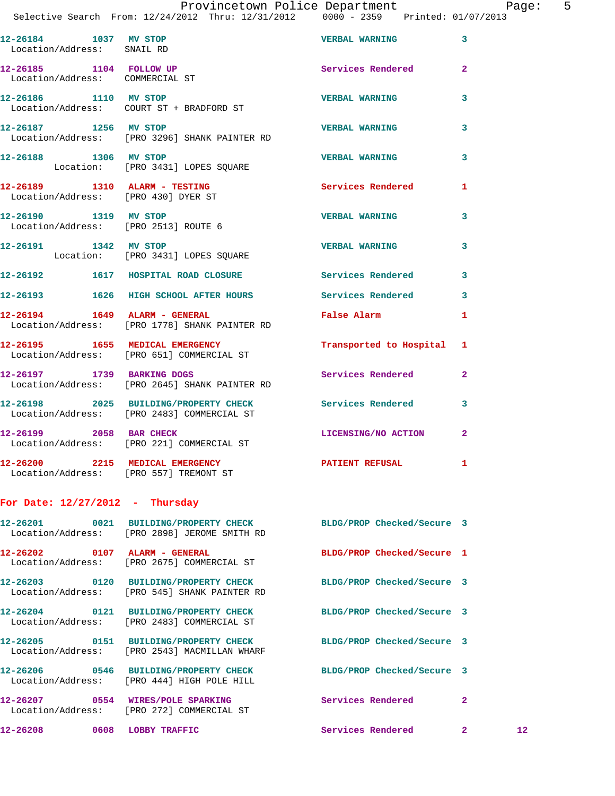|                                   |  | Provincetown Police Department  | Paqe: | - 5 |
|-----------------------------------|--|---------------------------------|-------|-----|
| From: 12/24/2012 Thru: 12/31/2012 |  | 0000 - 2359 Printed: 01/07/2013 |       |     |

| 12-26184          | 1037 MV STOP | <b>VERBAL WARNING</b> |  |
|-------------------|--------------|-----------------------|--|
| Location/Address: | SNAIL RD     |                       |  |

Selective Search

- 12-26185 1104 FOLLOW UP Services Rendered 2 Location/Address: COMMERCIAL ST
- **12-26186 1110 MV STOP VERBAL WARNING 3**  Location/Address: COURT ST + BRADFORD ST
- **12-26187 1256 MV STOP VERBAL WARNING 3**  Location/Address: [PRO 3296] SHANK PAINTER RD
- **12-26188 1306 MV STOP VERBAL WARNING 3**  Location: [PRO 3431] LOPES SQUARE
- **12-26189 1310 ALARM TESTING Services Rendered 1**  Location/Address: [PRO 430] DYER ST
- **12-26190 1319 MV STOP VERBAL WARNING 3**  Location/Address: [PRO 2513] ROUTE 6
- **12-26191 1342 MV STOP VERBAL WARNING 3**  Location: [PRO 3431] LOPES SQUARE
- **12-26192 1617 HOSPITAL ROAD CLOSURE Services Rendered 3**
- **12-26193 1626 HIGH SCHOOL AFTER HOURS Services Rendered 3**
- **12-26194 1649 ALARM GENERAL False Alarm 1**  Location/Address: [PRO 1778] SHANK PAINTER RD
- **12-26195 1655 MEDICAL EMERGENCY Transported to Hospital 1**  Location/Address: [PRO 651] COMMERCIAL ST
- **12-26197 1739 BARKING DOGS Services Rendered 2**  Location/Address: [PRO 2645] SHANK PAINTER RD
- **12-26198 2025 BUILDING/PROPERTY CHECK Services Rendered 3**  Location/Address: [PRO 2483] COMMERCIAL ST
- **12-26199 2058 BAR CHECK LICENSING/NO ACTION 2**  Location/Address: [PRO 221] COMMERCIAL ST
- **12-26200 2215 MEDICAL EMERGENCY PATIENT REFUSAL 1**  Location/Address: [PRO 557] TREMONT ST
- **For Date: 12/27/2012 Thursday**
- **12-26201 0021 BUILDING/PROPERTY CHECK BLDG/PROP Checked/Secure 3**  Location/Address: [PRO 2898] JEROME SMITH RD **12-26202 0107 ALARM - GENERAL BLDG/PROP Checked/Secure 1**  Location/Address: [PRO 2675] COMMERCIAL ST **12-26203 0120 BUILDING/PROPERTY CHECK BLDG/PROP Checked/Secure 3**  Location/Address: [PRO 545] SHANK PAINTER RD **12-26204 0121 BUILDING/PROPERTY CHECK BLDG/PROP Checked/Secure 3**  Location/Address: [PRO 2483] COMMERCIAL ST **12-26205 0151 BUILDING/PROPERTY CHECK BLDG/PROP Checked/Secure 3**  Location/Address: [PRO 2543] MACMILLAN WHARF **12-26206 0546 BUILDING/PROPERTY CHECK BLDG/PROP Checked/Secure 3**  Location/Address: [PRO 444] HIGH POLE HILL **12-26207 0554 WIRES/POLE SPARKING Services Rendered 2**  Location/Address: [PRO 272] COMMERCIAL ST **12-26208 0608 LOBBY TRAFFIC Services Rendered 2 12**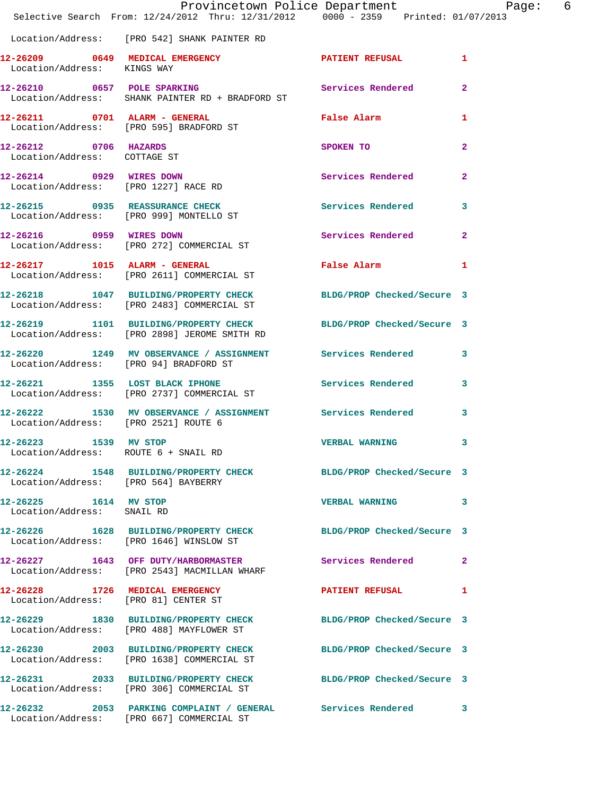|                                                       | Provincetown Police Department Page: 6<br>Selective Search From: 12/24/2012 Thru: 12/31/2012 0000 - 2359 Printed: 01/07/2013 |                         |                |
|-------------------------------------------------------|------------------------------------------------------------------------------------------------------------------------------|-------------------------|----------------|
|                                                       | Location/Address: [PRO 542] SHANK PAINTER RD                                                                                 |                         |                |
| Location/Address: KINGS WAY                           | 12-26209 0649 MEDICAL EMERGENCY PATIENT REFUSAL 1                                                                            |                         |                |
|                                                       | 12-26210 0657 POLE SPARKING Services Rendered<br>Location/Address: SHANK PAINTER RD + BRADFORD ST                            |                         | $\mathbf{2}$   |
|                                                       | 12-26211 0701 ALARM - GENERAL<br>Location/Address: [PRO 595] BRADFORD ST                                                     | False Alarm             | 1              |
| 12-26212 0706 HAZARDS<br>Location/Address: COTTAGE ST |                                                                                                                              | SPOKEN TO               | $\overline{2}$ |
|                                                       | 12-26214 0929 WIRES DOWN<br>Location/Address: [PRO 1227] RACE RD                                                             | Services Rendered       | $\mathbf{2}$   |
|                                                       | 12-26215 0935 REASSURANCE CHECK<br>Location/Address: [PRO 999] MONTELLO ST                                                   | Services Rendered 3     |                |
|                                                       | 12-26216 0959 WIRES DOWN<br>Location/Address: [PRO 272] COMMERCIAL ST                                                        | Services Rendered       | $\mathbf{2}$   |
|                                                       | 12-26217 1015 ALARM - GENERAL<br>Location/Address: [PRO 2611] COMMERCIAL ST                                                  | False Alarm             | $\mathbf{1}$   |
|                                                       | 12-26218 1047 BUILDING/PROPERTY CHECK BLDG/PROP Checked/Secure 3<br>Location/Address: [PRO 2483] COMMERCIAL ST               |                         |                |
|                                                       | 12-26219 1101 BUILDING/PROPERTY CHECK BLDG/PROP Checked/Secure 3<br>Location/Address: [PRO 2898] JEROME SMITH RD             |                         |                |
| Location/Address: [PRO 94] BRADFORD ST                | 12-26220 1249 MV OBSERVANCE / ASSIGNMENT Services Rendered 3                                                                 |                         |                |
|                                                       | 12-26221 1355 LOST BLACK IPHONE 12-26221 12-26221 1355 LOST BLACK IPHONE<br>Location/Address: [PRO 2737] COMMERCIAL ST       |                         |                |
| Location/Address: [PRO 2521] ROUTE 6                  | 12-26222 1530 MV OBSERVANCE / ASSIGNMENT Services Rendered                                                                   |                         | 3              |
| 12-26223 1539 MV STOP                                 | Location/Address: ROUTE 6 + SNAIL RD                                                                                         | <b>VERBAL WARNING</b> 3 |                |
| Location/Address: [PRO 564] BAYBERRY                  | 12-26224 1548 BUILDING/PROPERTY CHECK BLDG/PROP Checked/Secure 3                                                             |                         |                |
| 12-26225 1614 MV STOP<br>Location/Address: SNAIL RD   |                                                                                                                              | VERBAL WARNING 3        |                |
|                                                       | 12-26226 1628 BUILDING/PROPERTY CHECK BLDG/PROP Checked/Secure 3<br>Location/Address: [PRO 1646] WINSLOW ST                  |                         |                |
|                                                       | 12-26227 1643 OFF DUTY/HARBORMASTER<br>Location/Address: [PRO 2543] MACMILLAN WHARF                                          | Services Rendered       | $\mathbf{2}$   |
|                                                       | 12-26228 1726 MEDICAL EMERGENCY<br>Location/Address: [PRO 81] CENTER ST                                                      | PATIENT REFUSAL         | 1              |
|                                                       | 12-26229 1830 BUILDING/PROPERTY CHECK BLDG/PROP Checked/Secure 3<br>Location/Address: [PRO 488] MAYFLOWER ST                 |                         |                |
|                                                       | 12-26230 2003 BUILDING/PROPERTY CHECK BLDG/PROP Checked/Secure 3<br>Location/Address: [PRO 1638] COMMERCIAL ST               |                         |                |
|                                                       | 12-26231 2033 BUILDING/PROPERTY CHECK BLDG/PROP Checked/Secure 3<br>Location/Address: [PRO 306] COMMERCIAL ST                |                         |                |
|                                                       | 12-26232 2053 PARKING COMPLAINT / GENERAL Services Rendered<br>Location/Address: [PRO 667] COMMERCIAL ST                     |                         | 3              |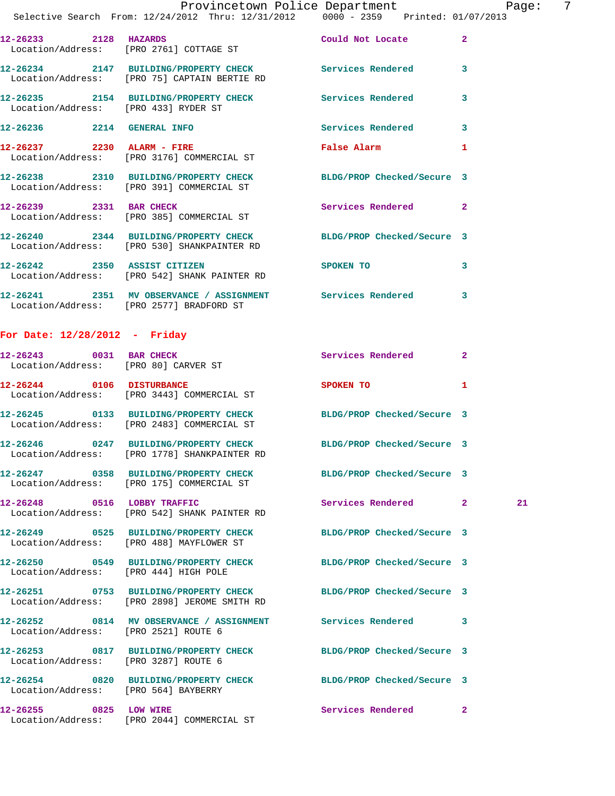|                                                                  | Provincetown Police Department                                                                          |                            | 7<br>Page:     |
|------------------------------------------------------------------|---------------------------------------------------------------------------------------------------------|----------------------------|----------------|
|                                                                  | Selective Search From: 12/24/2012 Thru: 12/31/2012 0000 - 2359 Printed: 01/07/2013                      |                            |                |
| 12-26233 2128 HAZARDS<br>Location/Address: [PRO 2761] COTTAGE ST |                                                                                                         | Could Not Locate           | $\overline{2}$ |
|                                                                  | 12-26234 2147 BUILDING/PROPERTY CHECK Services Rendered<br>Location/Address: [PRO 75] CAPTAIN BERTIE RD |                            | 3              |
| Location/Address: [PRO 433] RYDER ST                             |                                                                                                         | <b>Services Rendered</b>   | 3              |
| 12-26236<br>2214                                                 | <b>GENERAL INFO</b>                                                                                     | Services Rendered          | 3              |
| 12-26237 2230 ALARM - FIRE                                       | Location/Address: [PRO 3176] COMMERCIAL ST                                                              | <b>False Alarm</b>         | 1              |
|                                                                  | 12-26238 2310 BUILDING/PROPERTY CHECK<br>Location/Address: [PRO 391] COMMERCIAL ST                      | BLDG/PROP Checked/Secure 3 |                |

 Location/Address: [PRO 385] COMMERCIAL ST **12-26240 2344 BUILDING/PROPERTY CHECK BLDG/PROP Checked/Secure 3**  Location/Address: [PRO 530] SHANKPAINTER RD **12-26242 2350 ASSIST CITIZEN SPOKEN TO 3**  Location/Address: [PRO 542] SHANK PAINTER RD **12-26241 2351 MV OBSERVANCE / ASSIGNMENT Services Rendered 3**  Location/Address: [PRO 2577] BRADFORD ST

**12-26239 2331 BAR CHECK Services Rendered 2** 

## **For Date: 12/28/2012 - Friday**

| 12-26243 0031 BAR CHECK<br>Location/Address: [PRO 80] CARVER ST |                                                                                                                  | <b>Services Rendered</b>   | $\mathbf{2}$   |
|-----------------------------------------------------------------|------------------------------------------------------------------------------------------------------------------|----------------------------|----------------|
| 12-26244 0106 DISTURBANCE                                       | Location/Address: [PRO 3443] COMMERCIAL ST                                                                       | SPOKEN TO                  | 1              |
|                                                                 | Location/Address: [PRO 2483] COMMERCIAL ST                                                                       | BLDG/PROP Checked/Secure 3 |                |
|                                                                 | 12-26246 0247 BUILDING/PROPERTY CHECK<br>Location/Address: [PRO 1778] SHANKPAINTER RD                            | BLDG/PROP Checked/Secure 3 |                |
|                                                                 | 12-26247 0358 BUILDING/PROPERTY CHECK BLDG/PROP Checked/Secure 3<br>Location/Address: [PRO 175] COMMERCIAL ST    |                            |                |
|                                                                 | 12-26248 0516 LOBBY TRAFFIC<br>Location/Address: [PRO 542] SHANK PAINTER RD                                      | Services Rendered 2        | 21             |
|                                                                 | 12-26249 0525 BUILDING/PROPERTY CHECK BLDG/PROP Checked/Secure 3<br>Location/Address: [PRO 488] MAYFLOWER ST     |                            |                |
| Location/Address: [PRO 444] HIGH POLE                           | 12-26250 0549 BUILDING/PROPERTY CHECK BLDG/PROP Checked/Secure 3                                                 |                            |                |
|                                                                 | 12-26251 0753 BUILDING/PROPERTY CHECK BLDG/PROP Checked/Secure 3<br>Location/Address: [PRO 2898] JEROME SMITH RD |                            |                |
| Location/Address: [PRO 2521] ROUTE 6                            | 12-26252      0814   MV OBSERVANCE / ASSIGNMENT      Services Rendered                                           |                            | 3              |
| Location/Address: [PRO 3287] ROUTE 6                            | 12-26253 0817 BUILDING/PROPERTY CHECK BLDG/PROP Checked/Secure 3                                                 |                            |                |
| Location/Address: [PRO 564] BAYBERRY                            | 12-26254 0820 BUILDING/PROPERTY CHECK BLDG/PROP Checked/Secure 3                                                 |                            |                |
|                                                                 | 12-26255 0825 LOW WIRE<br>Location/Address: [PRO 2044] COMMERCIAL ST                                             | Services Rendered          | $\overline{2}$ |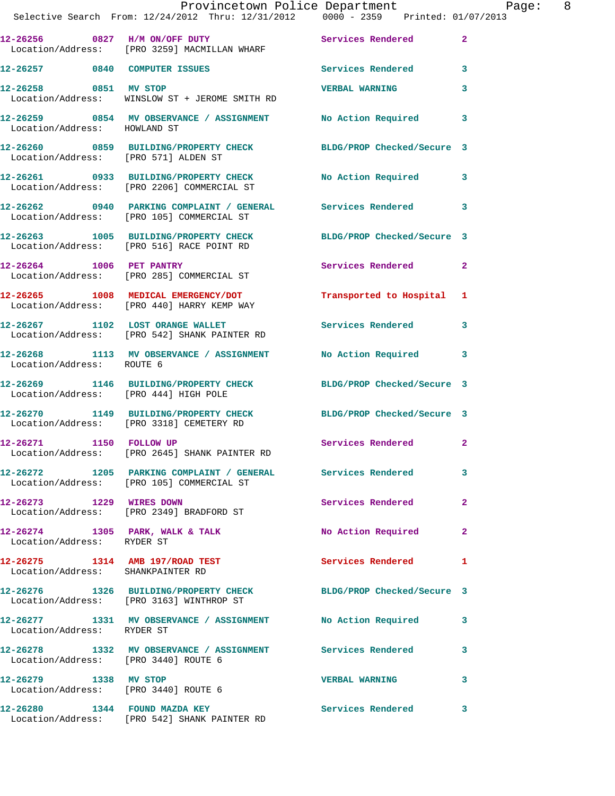|                                      | Provincetown Police Department<br>Selective Search From: 12/24/2012 Thru: 12/31/2012 0000 - 2359 Printed: 01/07/2013 |                           | Page: 8      |
|--------------------------------------|----------------------------------------------------------------------------------------------------------------------|---------------------------|--------------|
|                                      | 12-26256 0827 H/M ON/OFF DUTY<br>Location/Address: [PRO 3259] MACMILLAN WHARF                                        | Services Rendered 2       |              |
|                                      | 12-26257 0840 COMPUTER ISSUES Services Rendered 3                                                                    |                           |              |
|                                      | 12-26258 0851 MV STOP<br>Location/Address: WINSLOW ST + JEROME SMITH RD                                              | <b>VERBAL WARNING</b>     | 3            |
| Location/Address: HOWLAND ST         | 12-26259 0854 MV OBSERVANCE / ASSIGNMENT No Action Required 3                                                        |                           |              |
| Location/Address: [PRO 571] ALDEN ST | 12-26260 0859 BUILDING/PROPERTY CHECK BLDG/PROP Checked/Secure 3                                                     |                           |              |
|                                      | 12-26261 0933 BUILDING/PROPERTY CHECK<br>Location/Address: [PRO 2206] COMMERCIAL ST                                  | No Action Required 3      |              |
|                                      | 12-26262 0940 PARKING COMPLAINT / GENERAL Services Rendered 3<br>Location/Address: [PRO 105] COMMERCIAL ST           |                           |              |
|                                      | 12-26263 1005 BUILDING/PROPERTY CHECK BLDG/PROP Checked/Secure 3<br>Location/Address: [PRO 516] RACE POINT RD        |                           |              |
|                                      | 12-26264 1006 PET PANTRY<br>Location/Address: [PRO 285] COMMERCIAL ST                                                | Services Rendered 2       |              |
|                                      | 12-26265 1008 MEDICAL EMERGENCY/DOT<br>Location/Address: [PRO 440] HARRY KEMP WAY                                    | Transported to Hospital 1 |              |
|                                      | 12-26267 1102 LOST ORANGE WALLET<br>Location/Address: [PRO 542] SHANK PAINTER RD                                     | Services Rendered 3       |              |
| Location/Address: ROUTE 6            | 12-26268 1113 MV OBSERVANCE / ASSIGNMENT No Action Required 3                                                        |                           |              |
|                                      | 12-26269 1146 BUILDING/PROPERTY CHECK BLDG/PROP Checked/Secure 3<br>Location/Address: [PRO 444] HIGH POLE            |                           |              |
|                                      | 12-26270 1149 BUILDING/PROPERTY CHECK BLDG/PROP Checked/Secure 3<br>Location/Address: [PRO 3318] CEMETERY RD         |                           |              |
| 12-26271 1150 FOLLOW UP              | Location/Address: [PRO 2645] SHANK PAINTER RD                                                                        | Services Rendered 2       |              |
|                                      | 12-26272 1205 PARKING COMPLAINT / GENERAL Services Rendered 3<br>Location/Address: [PRO 105] COMMERCIAL ST           |                           |              |
|                                      | 12-26273 1229 WIRES DOWN<br>Location/Address: [PRO 2349] BRADFORD ST                                                 | Services Rendered         | $\mathbf{2}$ |
| Location/Address: RYDER ST           | 12-26274 1305 PARK, WALK & TALK 1999 No Action Required 2                                                            |                           |              |
| Location/Address: SHANKPAINTER RD    | 12-26275 1314 AMB 197/ROAD TEST Services Rendered 1                                                                  |                           |              |
|                                      | 12-26276 1326 BUILDING/PROPERTY CHECK BLDG/PROP Checked/Secure 3<br>Location/Address: [PRO 3163] WINTHROP ST         |                           |              |
| Location/Address: RYDER ST           | 12-26277 1331 MV OBSERVANCE / ASSIGNMENT No Action Required 3                                                        |                           |              |
| Location/Address: [PRO 3440] ROUTE 6 | 12-26278 1332 MV OBSERVANCE / ASSIGNMENT Services Rendered                                                           |                           | 3            |
| 12-26279 1338 MV STOP                | Location/Address: [PRO 3440] ROUTE 6                                                                                 | <b>VERBAL WARNING</b>     | 3            |
|                                      | 12-26280 1344 FOUND MAZDA KEY<br>Location/Address: [PRO 542] SHANK PAINTER RD                                        | Services Rendered 3       |              |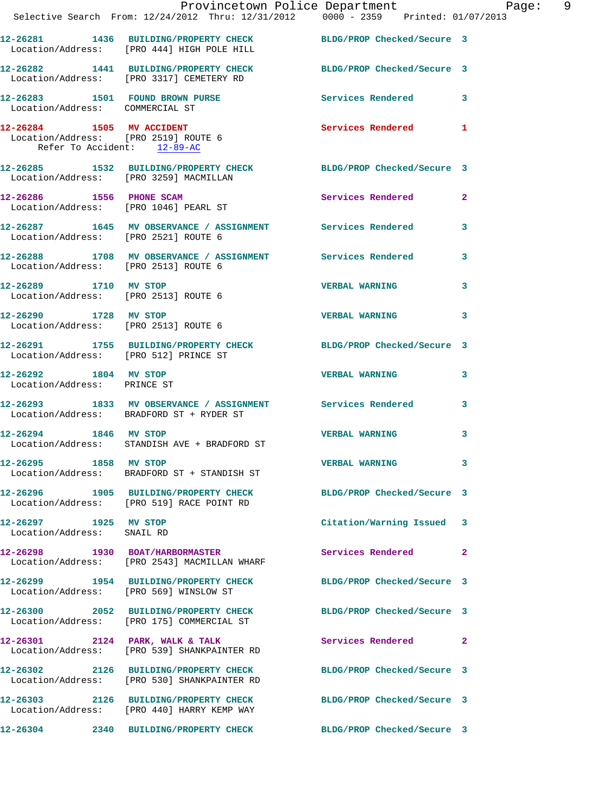|                                                                     | Provincetown Police Department Page: 9<br>Selective Search From: 12/24/2012 Thru: 12/31/2012  0000 - 2359  Printed: 01/07/2013 |                            |              |
|---------------------------------------------------------------------|--------------------------------------------------------------------------------------------------------------------------------|----------------------------|--------------|
|                                                                     | 12-26281 1436 BUILDING/PROPERTY CHECK BLDG/PROP Checked/Secure 3<br>Location/Address: [PRO 444] HIGH POLE HILL                 |                            |              |
|                                                                     | 12-26282 1441 BUILDING/PROPERTY CHECK BLDG/PROP Checked/Secure 3<br>Location/Address: [PRO 3317] CEMETERY RD                   |                            |              |
| Location/Address: COMMERCIAL ST                                     | 12-26283 1501 FOUND BROWN PURSE 12-26283 Rendered 3                                                                            |                            |              |
| Location/Address: [PRO 2519] ROUTE 6<br>Refer To Accident: 12-89-AC | 12-26284 1505 MV ACCIDENT                                                                                                      | Services Rendered 1        |              |
|                                                                     | 12-26285 1532 BUILDING/PROPERTY CHECK BLDG/PROP Checked/Secure 3<br>Location/Address: [PRO 3259] MACMILLAN                     |                            |              |
|                                                                     | 12-26286 1556 PHONE SCAM<br>Location/Address: [PRO 1046] PEARL ST                                                              | Services Rendered 2        |              |
|                                                                     | 12-26287 1645 MV OBSERVANCE / ASSIGNMENT Services Rendered 3<br>Location/Address: [PRO 2521] ROUTE 6                           |                            |              |
| Location/Address: [PRO 2513] ROUTE 6                                | 12-26288 1708 MV OBSERVANCE / ASSIGNMENT Services Rendered 3                                                                   |                            |              |
| 12-26289 1710 MV STOP<br>Location/Address: [PRO 2513] ROUTE 6       |                                                                                                                                | VERBAL WARNING 3           |              |
| Location/Address: [PRO 2513] ROUTE 6                                | 12-26290 1728 MV STOP                                                                                                          | <b>VERBAL WARNING</b> 3    |              |
| Location/Address: [PRO 512] PRINCE ST                               | 12-26291 1755 BUILDING/PROPERTY CHECK BLDG/PROP Checked/Secure 3                                                               |                            |              |
| 12-26292 1804 MV STOP<br>Location/Address: PRINCE ST                |                                                                                                                                | VERBAL WARNING 3           |              |
|                                                                     | 12-26293 1833 MV OBSERVANCE / ASSIGNMENT Services Rendered 3<br>Location/Address: BRADFORD ST + RYDER ST                       |                            |              |
|                                                                     | 12-26294 1846 MV STOP<br>Location/Address: STANDISH AVE + BRADFORD ST                                                          | <b>VERBAL WARNING</b>      | 3            |
| 12-26295 1858 MV STOP                                               | Location/Address: BRADFORD ST + STANDISH ST                                                                                    | <b>VERBAL WARNING</b>      | 3            |
|                                                                     | 12-26296 1905 BUILDING/PROPERTY CHECK BLDG/PROP Checked/Secure 3<br>Location/Address: [PRO 519] RACE POINT RD                  |                            |              |
| 12-26297 1925 MV STOP<br>Location/Address: SNAIL RD                 |                                                                                                                                | Citation/Warning Issued 3  |              |
|                                                                     | 12-26298 1930 BOAT/HARBORMASTER<br>Location/Address: [PRO 2543] MACMILLAN WHARF                                                | Services Rendered          | $\mathbf{2}$ |
|                                                                     | 12-26299 1954 BUILDING/PROPERTY CHECK BLDG/PROP Checked/Secure 3<br>Location/Address: [PRO 569] WINSLOW ST                     |                            |              |
|                                                                     | 12-26300 2052 BUILDING/PROPERTY CHECK BLDG/PROP Checked/Secure 3<br>Location/Address: [PRO 175] COMMERCIAL ST                  |                            |              |
|                                                                     | 12-26301 2124 PARK, WALK & TALK<br>Location/Address: [PRO 539] SHANKPAINTER RD                                                 | Services Rendered 2        |              |
|                                                                     | 12-26302 2126 BUILDING/PROPERTY CHECK<br>Location/Address: [PRO 530] SHANKPAINTER RD                                           | BLDG/PROP Checked/Secure 3 |              |
|                                                                     | 12-26303 2126 BUILDING/PROPERTY CHECK BLDG/PROP Checked/Secure 3<br>Location/Address: [PRO 440] HARRY KEMP WAY                 |                            |              |
|                                                                     | 12-26304 2340 BUILDING/PROPERTY CHECK BLDG/PROP Checked/Secure 3                                                               |                            |              |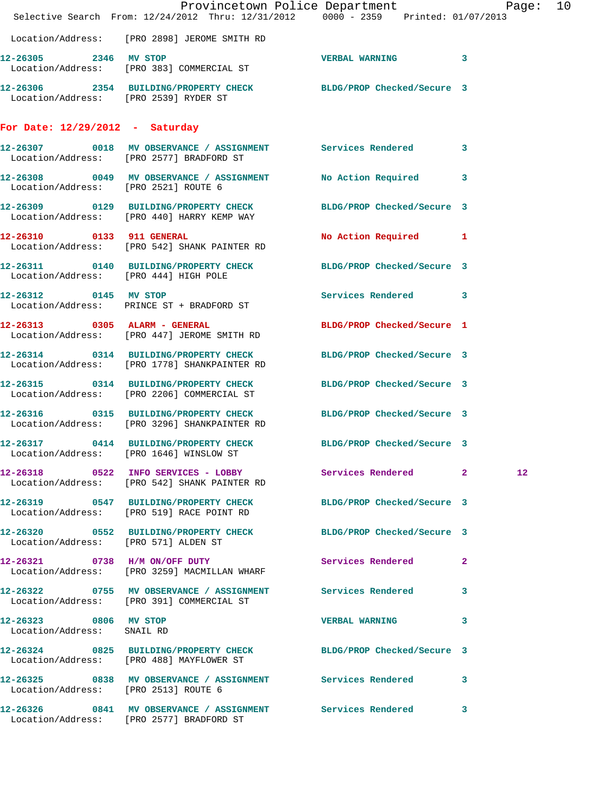|                                                     | Provincetown Police Department Page: 10<br>Selective Search From: 12/24/2012 Thru: 12/31/2012 0000 - 2359 Printed: 01/07/2013 |                            |                 |  |
|-----------------------------------------------------|-------------------------------------------------------------------------------------------------------------------------------|----------------------------|-----------------|--|
|                                                     | Location/Address: [PRO 2898] JEROME SMITH RD                                                                                  |                            |                 |  |
| 12-26305 2346 MV STOP                               | Location/Address: [PRO 383] COMMERCIAL ST                                                                                     | VERBAL WARNING 3           |                 |  |
| Location/Address: [PRO 2539] RYDER ST               | 12-26306 2354 BUILDING/PROPERTY CHECK BLDG/PROP Checked/Secure 3                                                              |                            |                 |  |
| For Date: $12/29/2012$ - Saturday                   |                                                                                                                               |                            |                 |  |
|                                                     | 12-26307 0018 MV OBSERVANCE / ASSIGNMENT Services Rendered 3<br>Location/Address: [PRO 2577] BRADFORD ST                      |                            |                 |  |
|                                                     | 12-26308 0049 MV OBSERVANCE / ASSIGNMENT No Action Required 3<br>Location/Address: [PRO 2521] ROUTE 6                         |                            |                 |  |
|                                                     | 12-26309 0129 BUILDING/PROPERTY CHECK BLDG/PROP Checked/Secure 3<br>Location/Address: [PRO 440] HARRY KEMP WAY                |                            |                 |  |
|                                                     | 12-26310 0133 911 GENERAL<br>Location/Address: [PRO 542] SHANK PAINTER RD                                                     | No Action Required 1       |                 |  |
| Location/Address: [PRO 444] HIGH POLE               | 12-26311 0140 BUILDING/PROPERTY CHECK BLDG/PROP Checked/Secure 3                                                              |                            |                 |  |
|                                                     | 12-26312 0145 MV STOP<br>Location/Address: PRINCE ST + BRADFORD ST                                                            | Services Rendered 3        |                 |  |
|                                                     | 12-26313 0305 ALARM - GENERAL<br>Location/Address: [PRO 447] JEROME SMITH RD                                                  | BLDG/PROP Checked/Secure 1 |                 |  |
|                                                     | 12-26314 0314 BUILDING/PROPERTY CHECK<br>Location/Address: [PRO 1778] SHANKPAINTER RD                                         | BLDG/PROP Checked/Secure 3 |                 |  |
|                                                     | 12-26315 0314 BUILDING/PROPERTY CHECK BLDG/PROP Checked/Secure 3<br>Location/Address: [PRO 2206] COMMERCIAL ST                |                            |                 |  |
|                                                     | 12-26316 0315 BUILDING/PROPERTY CHECK BLDG/PROP Checked/Secure 3<br>Location/Address: [PRO 3296] SHANKPAINTER RD              |                            |                 |  |
|                                                     | 12-26317 0414 BUILDING/PROPERTY CHECK BLDG/PROP Checked/Secure 3<br>Location/Address: [PRO 1646] WINSLOW ST                   |                            |                 |  |
|                                                     | 12-26318 0522 INFO SERVICES - LOBBY Services Rendered 2<br>Location/Address: [PRO 542] SHANK PAINTER RD                       |                            | 12 <sub>1</sub> |  |
|                                                     | 12-26319 0547 BUILDING/PROPERTY CHECK BLDG/PROP Checked/Secure 3<br>Location/Address: [PRO 519] RACE POINT RD                 |                            |                 |  |
|                                                     | 12-26320 0552 BUILDING/PROPERTY CHECK BLDG/PROP Checked/Secure 3<br>Location/Address: [PRO 571] ALDEN ST                      |                            |                 |  |
|                                                     | 12-26321 0738 H/M ON/OFF DUTY<br>Location/Address: [PRO 3259] MACMILLAN WHARF                                                 | Services Rendered          | $\mathbf{2}$    |  |
|                                                     | 12-26322 0755 MV OBSERVANCE / ASSIGNMENT Services Rendered 3<br>Location/Address: [PRO 391] COMMERCIAL ST                     |                            |                 |  |
| 12-26323 0806 MV STOP<br>Location/Address: SNAIL RD |                                                                                                                               | VERBAL WARNING 3           |                 |  |
|                                                     | 12-26324 0825 BUILDING/PROPERTY CHECK BLDG/PROP Checked/Secure 3<br>Location/Address: [PRO 488] MAYFLOWER ST                  |                            |                 |  |
| Location/Address: [PRO 2513] ROUTE 6                | 12-26325 0838 MV OBSERVANCE / ASSIGNMENT Services Rendered 3                                                                  |                            |                 |  |
|                                                     | 12-26326 0841 MV OBSERVANCE / ASSIGNMENT Services Rendered 3<br>Location/Address: [PRO 2577] BRADFORD ST                      |                            |                 |  |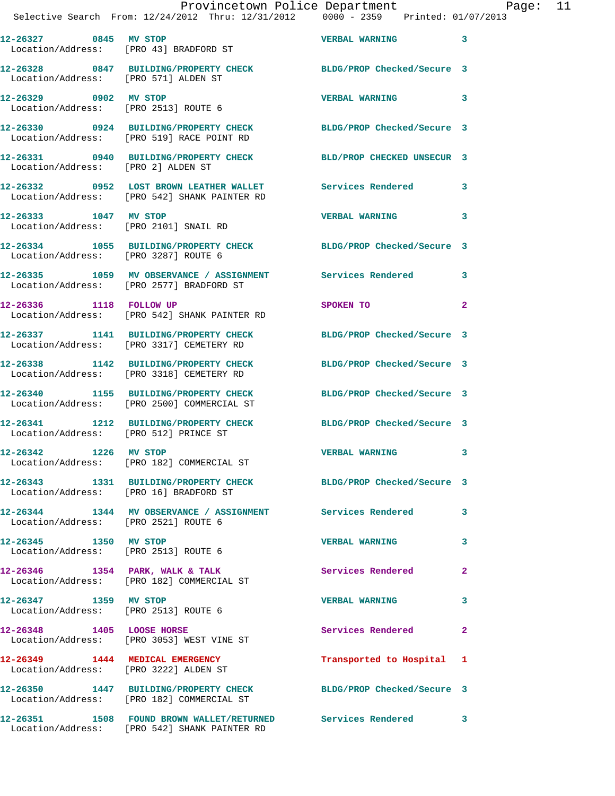| 12-26327 0845 MV STOP<br>Location/Address: [PRO 43] BRADFORD ST |                                                                                                               | <b>VERBAL WARNING</b>      | $\overline{\mathbf{3}}$    |
|-----------------------------------------------------------------|---------------------------------------------------------------------------------------------------------------|----------------------------|----------------------------|
| Location/Address: [PRO 571] ALDEN ST                            | 12-26328 0847 BUILDING/PROPERTY CHECK BLDG/PROP Checked/Secure 3                                              |                            |                            |
| 12-26329 0902 MV STOP                                           | Location/Address: [PRO 2513] ROUTE 6                                                                          | VERBAL WARNING 3           |                            |
|                                                                 | 12-26330 0924 BUILDING/PROPERTY CHECK<br>Location/Address: [PRO 519] RACE POINT RD                            | BLDG/PROP Checked/Secure 3 |                            |
| Location/Address: [PRO 2] ALDEN ST                              | 12-26331 0940 BUILDING/PROPERTY CHECK                                                                         | BLD/PROP CHECKED UNSECUR 3 |                            |
|                                                                 | 12-26332 0952 LOST BROWN LEATHER WALLET<br>Location/Address: [PRO 542] SHANK PAINTER RD                       | <b>Services Rendered</b>   | 3                          |
| 12-26333 1047 MV STOP<br>Location/Address: [PRO 2101] SNAIL RD  |                                                                                                               | <b>VERBAL WARNING</b>      | 3                          |
| Location/Address: [PRO 3287] ROUTE 6                            | 12-26334 1055 BUILDING/PROPERTY CHECK BLDG/PROP Checked/Secure 3                                              |                            |                            |
|                                                                 | 12-26335 1059 MV OBSERVANCE / ASSIGNMENT Services Rendered<br>Location/Address: [PRO 2577] BRADFORD ST        |                            | 3                          |
| 12-26336 1118 FOLLOW UP                                         | Location/Address: [PRO 542] SHANK PAINTER RD                                                                  | SPOKEN TO                  | $\overline{a}$             |
|                                                                 | 12-26337 1141 BUILDING/PROPERTY CHECK<br>Location/Address: [PRO 3317] CEMETERY RD                             | BLDG/PROP Checked/Secure 3 |                            |
|                                                                 | 12-26338 1142 BUILDING/PROPERTY CHECK<br>Location/Address: [PRO 3318] CEMETERY RD                             | BLDG/PROP Checked/Secure 3 |                            |
|                                                                 | 12-26340 1155 BUILDING/PROPERTY CHECK<br>Location/Address: [PRO 2500] COMMERCIAL ST                           | BLDG/PROP Checked/Secure 3 |                            |
| Location/Address: [PRO 512] PRINCE ST                           | 12-26341 1212 BUILDING/PROPERTY CHECK                                                                         | BLDG/PROP Checked/Secure 3 |                            |
| 12-26342 1226 MV STOP                                           | Location/Address: [PRO 182] COMMERCIAL ST                                                                     | <b>VERBAL WARNING</b>      | 3                          |
| Location/Address: [PRO 16] BRADFORD ST                          | 12-26343 1331 BUILDING/PROPERTY CHECK                                                                         | BLDG/PROP Checked/Secure 3 |                            |
| Location/Address: [PRO 2521] ROUTE 6                            | 12-26344 1344 MV OBSERVANCE / ASSIGNMENT Services Rendered 3                                                  |                            |                            |
|                                                                 | Location/Address: [PRO 2513] ROUTE 6                                                                          | <b>VERBAL WARNING</b>      | 3                          |
|                                                                 | 12-26346 1354 PARK, WALK & TALK<br>Location/Address: [PRO 182] COMMERCIAL ST                                  | <b>Services Rendered</b>   | $\overline{2}$             |
| 12-26347 1359 MV STOP                                           | Location/Address: [PRO 2513] ROUTE 6                                                                          | <b>VERBAL WARNING</b>      | $\overline{\mathbf{3}}$    |
|                                                                 | 12-26348 1405 LOOSE HORSE<br>Location/Address: [PRO 3053] WEST VINE ST                                        | Services Rendered          | $\overline{\phantom{0}}$ 2 |
| 12-26349 1444 MEDICAL EMERGENCY                                 | Location/Address: [PRO 3222] ALDEN ST                                                                         | Transported to Hospital 1  |                            |
|                                                                 | 12-26350 1447 BUILDING/PROPERTY CHECK BLDG/PROP Checked/Secure 3<br>Location/Address: [PRO 182] COMMERCIAL ST |                            |                            |
|                                                                 | 12-26351 1508 FOUND BROWN WALLET/RETURNED Services Rendered 3<br>Location/Address: [PRO 542] SHANK PAINTER RD |                            |                            |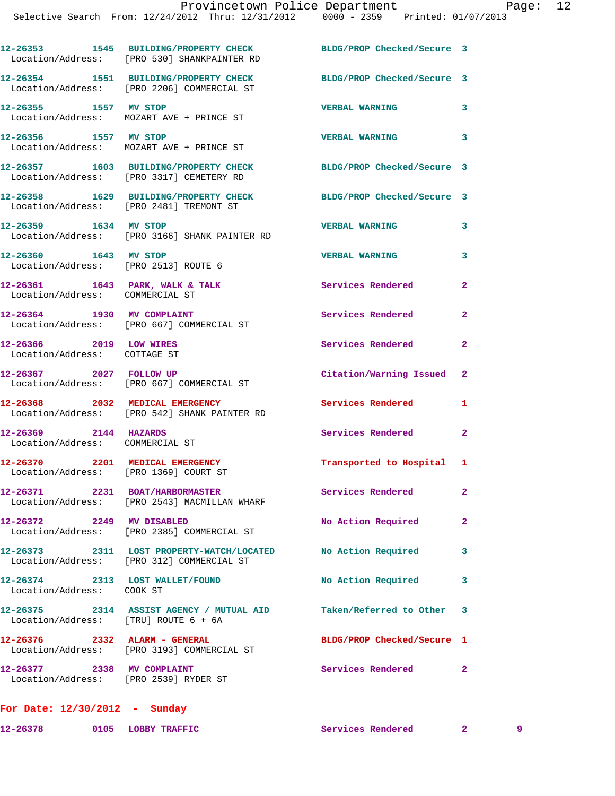|                                                                          | 12-26353 1545 BUILDING/PROPERTY CHECK<br>Location/Address: [PRO 530] SHANKPAINTER RD                      | BLDG/PROP Checked/Secure 3        |                |
|--------------------------------------------------------------------------|-----------------------------------------------------------------------------------------------------------|-----------------------------------|----------------|
|                                                                          | 12-26354 1551 BUILDING/PROPERTY CHECK<br>Location/Address: [PRO 2206] COMMERCIAL ST                       | BLDG/PROP Checked/Secure 3        |                |
| 12-26355 1557 MV STOP                                                    | Location/Address: MOZART AVE + PRINCE ST                                                                  | <b>VERBAL WARNING</b><br>$\sim$ 3 |                |
| 12-26356 1557 MV STOP                                                    | Location/Address: MOZART AVE + PRINCE ST                                                                  | <b>VERBAL WARNING</b>             | 3              |
|                                                                          | 12-26357 1603 BUILDING/PROPERTY CHECK<br>Location/Address: [PRO 3317] CEMETERY RD                         | BLDG/PROP Checked/Secure 3        |                |
| Location/Address: [PRO 2481] TREMONT ST                                  | 12-26358 1629 BUILDING/PROPERTY CHECK                                                                     | BLDG/PROP Checked/Secure 3        |                |
| 12-26359 1634 MV STOP                                                    | Location/Address: [PRO 3166] SHANK PAINTER RD                                                             | <b>VERBAL WARNING</b>             | 3              |
| 12-26360 1643 MV STOP<br>Location/Address: [PRO 2513] ROUTE 6            |                                                                                                           | <b>VERBAL WARNING</b>             | 3              |
| 12-26361 1643 PARK, WALK & TALK<br>Location/Address: COMMERCIAL ST       |                                                                                                           | <b>Services Rendered</b>          | $\overline{2}$ |
| 12-26364 1930 MV COMPLAINT                                               | Location/Address: [PRO 667] COMMERCIAL ST                                                                 | Services Rendered                 | $\overline{2}$ |
| 12-26366 2019 LOW WIRES<br>Location/Address: COTTAGE ST                  |                                                                                                           | Services Rendered                 | $\mathbf{2}$   |
| 12-26367 2027 FOLLOW UP                                                  | Location/Address: [PRO 667] COMMERCIAL ST                                                                 | Citation/Warning Issued 2         |                |
|                                                                          | 12-26368 2032 MEDICAL EMERGENCY<br>Location/Address: [PRO 542] SHANK PAINTER RD                           | Services Rendered                 | 1              |
| 12-26369 2144 HAZARDS<br>Location/Address: COMMERCIAL ST                 |                                                                                                           | Services Rendered                 | $\mathbf{2}$   |
| 12-26370 2201 MEDICAL EMERGENCY<br>Location/Address: [PRO 1369] COURT ST |                                                                                                           | Transported to Hospital 1         |                |
|                                                                          | 12-26371 2231 BOAT/HARBORMASTER<br>Location/Address: [PRO 2543] MACMILLAN WHARF                           | <b>Services Rendered</b>          |                |
| 12-26372 2249 MV DISABLED                                                | Location/Address: [PRO 2385] COMMERCIAL ST                                                                | No Action Required 2              |                |
|                                                                          | 12-26373 2311 LOST PROPERTY-WATCH/LOCATED No Action Required<br>Location/Address: [PRO 312] COMMERCIAL ST |                                   | $\mathbf{3}$   |
| 12-26374 2313 LOST WALLET/FOUND<br>Location/Address: COOK ST             |                                                                                                           | No Action Required                | 3              |
| Location/Address: [TRU] ROUTE 6 + 6A                                     | 12-26375 2314 ASSIST AGENCY / MUTUAL AID Taken/Referred to Other 3                                        |                                   |                |
|                                                                          | 12-26376 2332 ALARM - GENERAL<br>Location/Address: [PRO 3193] COMMERCIAL ST                               | BLDG/PROP Checked/Secure 1        |                |
| 12-26377 2338 MV COMPLAINT<br>Location/Address: [PRO 2539] RYDER ST      |                                                                                                           | Services Rendered 2               |                |
| For Date: $12/30/2012$ - Sunday                                          |                                                                                                           |                                   |                |

**12-26378 0105 LOBBY TRAFFIC Services Rendered 2 9**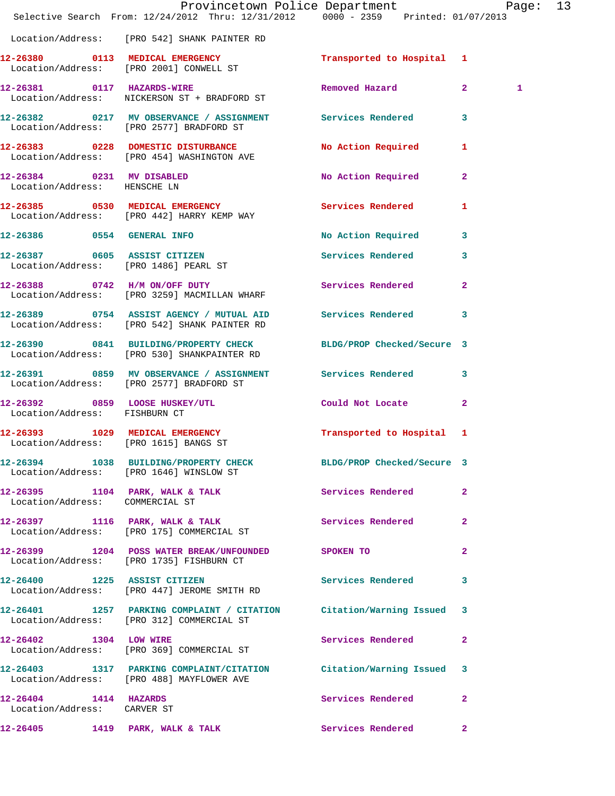|                                                           | Provincetown Police Department Page: 13<br>Selective Search From: 12/24/2012 Thru: 12/31/2012 0000 - 2359 Printed: 01/07/2013 |                          |                |   |  |
|-----------------------------------------------------------|-------------------------------------------------------------------------------------------------------------------------------|--------------------------|----------------|---|--|
|                                                           | Location/Address: [PRO 542] SHANK PAINTER RD                                                                                  |                          |                |   |  |
|                                                           | 12-26380 0113 MEDICAL EMERGENCY Transported to Hospital 1<br>Location/Address: [PRO 2001] CONWELL ST                          |                          |                |   |  |
|                                                           | 12-26381 0117 HAZARDS-WIRE<br>Location/Address: NICKERSON ST + BRADFORD ST                                                    | Removed Hazard 2         |                | 1 |  |
|                                                           | 12-26382 0217 MV OBSERVANCE / ASSIGNMENT Services Rendered 3<br>Location/Address: [PRO 2577] BRADFORD ST                      |                          |                |   |  |
|                                                           | 12-26383 0228 DOMESTIC DISTURBANCE No Action Required 1<br>Location/Address: [PRO 454] WASHINGTON AVE                         |                          |                |   |  |
| 12-26384 0231 MV DISABLED<br>Location/Address: HENSCHE LN |                                                                                                                               | No Action Required 2     |                |   |  |
|                                                           | 12-26385 0530 MEDICAL EMERGENCY<br>Location/Address: [PRO 442] HARRY KEMP WAY                                                 | Services Rendered 1      |                |   |  |
|                                                           | 12-26386 0554 GENERAL INFO                                                                                                    | No Action Required 3     |                |   |  |
|                                                           | 12-26387 0605 ASSIST CITIZEN<br>Location/Address: [PRO 1486] PEARL ST                                                         | Services Rendered 3      |                |   |  |
|                                                           | 12-26388 0742 H/M ON/OFF DUTY<br>Location/Address: [PRO 3259] MACMILLAN WHARF                                                 | Services Rendered        | $\mathbf{2}$   |   |  |
|                                                           | 12-26389 0754 ASSIST AGENCY / MUTUAL AID Services Rendered 3<br>Location/Address: [PRO 542] SHANK PAINTER RD                  |                          |                |   |  |
|                                                           | 12-26390 0841 BUILDING/PROPERTY CHECK BLDG/PROP Checked/Secure 3<br>Location/Address: [PRO 530] SHANKPAINTER RD               |                          |                |   |  |
|                                                           | 12-26391 0859 MV OBSERVANCE / ASSIGNMENT Services Rendered 3<br>Location/Address: [PRO 2577] BRADFORD ST                      |                          |                |   |  |
| Location/Address: FISHBURN CT                             | 12-26392 0859 LOOSE HUSKEY/UTL Could Not Locate                                                                               |                          | $\mathbf{2}$   |   |  |
|                                                           | 12-26393 1029 MEDICAL EMERGENCY Transported to Hospital 1<br>Location/Address: [PRO 1615] BANGS ST                            |                          |                |   |  |
|                                                           | 12-26394 1038 BUILDING/PROPERTY CHECK BLDG/PROP Checked/Secure 3<br>Location/Address: [PRO 1646] WINSLOW ST                   |                          |                |   |  |
| Location/Address: COMMERCIAL ST                           | 12-26395 1104 PARK, WALK & TALK Services Rendered                                                                             |                          | $\mathbf{2}$   |   |  |
|                                                           | 12-26397 1116 PARK, WALK & TALK<br>Location/Address: [PRO 175] COMMERCIAL ST                                                  | Services Rendered        | $\mathbf{2}$   |   |  |
|                                                           | 12-26399 1204 POSS WATER BREAK/UNFOUNDED SPOKEN TO<br>Location/Address: [PRO 1735] FISHBURN CT                                |                          | $\overline{2}$ |   |  |
|                                                           | 12-26400 1225 ASSIST CITIZEN<br>Location/Address: [PRO 447] JEROME SMITH RD                                                   | Services Rendered        | 3              |   |  |
|                                                           | 12-26401 1257 PARKING COMPLAINT / CITATION Citation/Warning Issued 3<br>Location/Address: [PRO 312] COMMERCIAL ST             |                          |                |   |  |
| 12-26402 1304 LOW WIRE                                    | Location/Address: [PRO 369] COMMERCIAL ST                                                                                     | Services Rendered        | 2              |   |  |
|                                                           | 12-26403 1317 PARKING COMPLAINT/CITATION Citation/Warning Issued 3<br>Location/Address: [PRO 488] MAYFLOWER AVE               |                          |                |   |  |
| 12-26404 1414 HAZARDS<br>Location/Address: CARVER ST      |                                                                                                                               | Services Rendered        | 2              |   |  |
|                                                           | 12-26405 1419 PARK, WALK & TALK                                                                                               | <b>Services Rendered</b> | $\mathbf{2}$   |   |  |
|                                                           |                                                                                                                               |                          |                |   |  |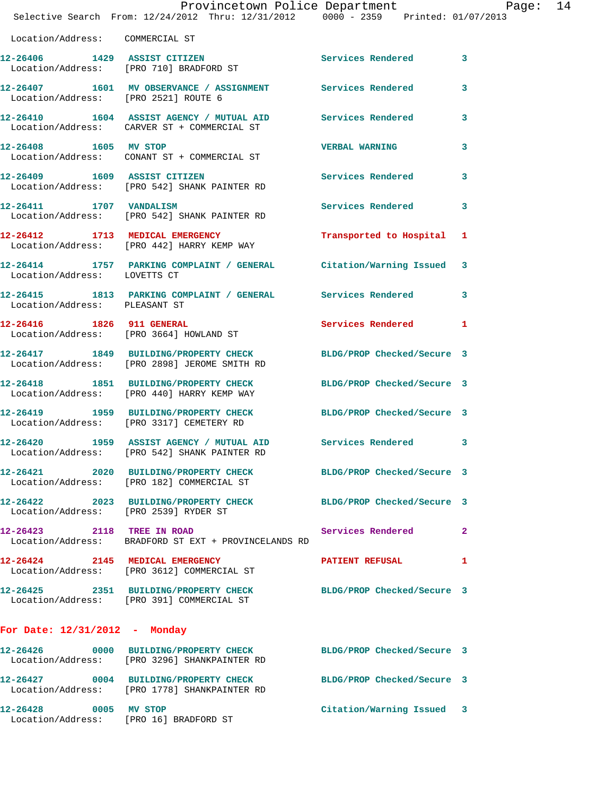|                                      | Provincetown Police Department Page: 14                                                                           |                            |                         |  |
|--------------------------------------|-------------------------------------------------------------------------------------------------------------------|----------------------------|-------------------------|--|
|                                      | Selective Search From: 12/24/2012 Thru: 12/31/2012 0000 - 2359 Printed: 01/07/2013                                |                            |                         |  |
| Location/Address: COMMERCIAL ST      |                                                                                                                   |                            |                         |  |
|                                      | 12-26406 1429 ASSIST CITIZEN<br>Location/Address: [PRO 710] BRADFORD ST                                           | Services Rendered 3        |                         |  |
| Location/Address: [PRO 2521] ROUTE 6 | 12-26407 1601 MV OBSERVANCE / ASSIGNMENT Services Rendered                                                        |                            | $\overline{\mathbf{3}}$ |  |
|                                      | 12-26410 1604 ASSIST AGENCY / MUTUAL AID Services Rendered 3<br>Location/Address: CARVER ST + COMMERCIAL ST       |                            |                         |  |
| 12-26408 1605 MV STOP                | Location/Address: CONANT ST + COMMERCIAL ST                                                                       | <b>VERBAL WARNING</b>      | 3                       |  |
|                                      | 12-26409 1609 ASSIST CITIZEN<br>Location/Address: [PRO 542] SHANK PAINTER RD                                      | Services Rendered 3        |                         |  |
|                                      | 12-26411 1707 VANDALISM<br>Location/Address: [PRO 542] SHANK PAINTER RD                                           | Services Rendered          | 3                       |  |
|                                      | 12-26412 1713 MEDICAL EMERGENCY<br>Location/Address: [PRO 442] HARRY KEMP WAY                                     | Transported to Hospital 1  |                         |  |
| Location/Address: LOVETTS CT         | 12-26414 1757 PARKING COMPLAINT / GENERAL Citation/Warning Issued 3                                               |                            |                         |  |
| Location/Address: PLEASANT ST        | 12-26415 1813 PARKING COMPLAINT / GENERAL Services Rendered 3                                                     |                            |                         |  |
|                                      | 12-26416 1826 911 GENERAL<br>Location/Address: [PRO 3664] HOWLAND ST                                              | Services Rendered 1        |                         |  |
|                                      | 12-26417 1849 BUILDING/PROPERTY CHECK<br>Location/Address: [PRO 2898] JEROME SMITH RD                             | BLDG/PROP Checked/Secure 3 |                         |  |
|                                      | 12-26418 1851 BUILDING/PROPERTY CHECK<br>Location/Address: [PRO 440] HARRY KEMP WAY                               | BLDG/PROP Checked/Secure 3 |                         |  |
|                                      | 12-26419 1959 BUILDING/PROPERTY CHECK BLDG/PROP Checked/Secure 3<br>Location/Address: [PRO 3317] CEMETERY RD      |                            |                         |  |
|                                      | 12-26420 1959 ASSIST AGENCY / MUTUAL AID Services Rendered 3<br>Location/Address: [PRO 542] SHANK PAINTER RD      |                            |                         |  |
|                                      | 12-26421 2020 BUILDING/PROPERTY CHECK BLDG/PROP Checked/Secure 3<br>Location/Address: [PRO 182] COMMERCIAL ST     |                            |                         |  |
|                                      | 12-26422 2023 BUILDING/PROPERTY CHECK BLDG/PROP Checked/Secure 3<br>Location/Address: [PRO 2539] RYDER ST         |                            |                         |  |
| 12-26423 2118 TREE IN ROAD           | Location/Address: BRADFORD ST EXT + PROVINCELANDS RD                                                              | Services Rendered 2        |                         |  |
|                                      | 12-26424 2145 MEDICAL EMERGENCY<br>Location/Address: [PRO 3612] COMMERCIAL ST                                     | PATIENT REFUSAL            | 1                       |  |
|                                      | 12-26425 2351 BUILDING/PROPERTY CHECK BLDG/PROP Checked/Secure 3<br>Location/Address: [PRO 391] COMMERCIAL ST     |                            |                         |  |
| For Date: $12/31/2012$ - Monday      |                                                                                                                   |                            |                         |  |
|                                      | 12-26426  0000 BUILDING/PROPERTY CHECK BLDG/PROP Checked/Secure 3<br>Location/Address: [PRO 3296] SHANKPAINTER RD |                            |                         |  |
|                                      | 12-26427 0004 BUILDING/PROPERTY CHECK BLDG/PROP Checked/Secure 3<br>Location/Address: [PRO 1778] SHANKPAINTER RD  |                            |                         |  |
| 12-26428 0005 MV STOP                |                                                                                                                   | Citation/Warning Issued 3  |                         |  |

Location/Address: [PRO 16] BRADFORD ST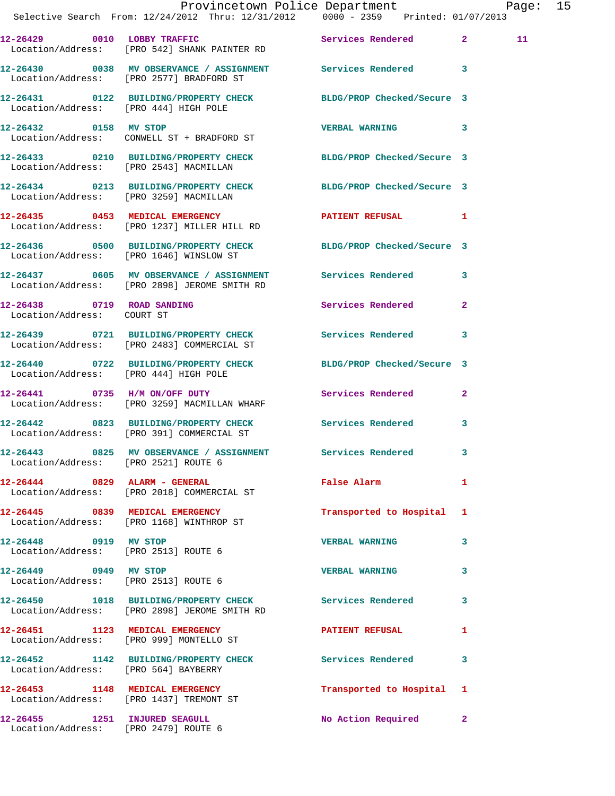|  | Provincetown Police Department Page: 15<br>Selective Search From: $12/24/2012$ Thru: $12/31/2012$ 0000 - 2359 Printed: 01/07/2013 |                           |              |    |  |
|--|-----------------------------------------------------------------------------------------------------------------------------------|---------------------------|--------------|----|--|
|  | 12-26429 0010 LOBBY TRAFFIC Services Rendered 2<br>Location/Address: [PRO 542] SHANK PAINTER RD                                   |                           |              | 11 |  |
|  | 12-26430 0038 MV OBSERVANCE / ASSIGNMENT Services Rendered 3<br>Location/Address: [PRO 2577] BRADFORD ST                          |                           |              |    |  |
|  | 12-26431 0122 BUILDING/PROPERTY CHECK BLDG/PROP Checked/Secure 3<br>Location/Address: [PRO 444] HIGH POLE                         |                           |              |    |  |
|  | 12-26432 0158 MV STOP<br>Location/Address: CONWELL ST + BRADFORD ST                                                               | VERBAL WARNING 3          |              |    |  |
|  | 12-26433 0210 BUILDING/PROPERTY CHECK BLDG/PROP Checked/Secure 3<br>Location/Address: [PRO 2543] MACMILLAN                        |                           |              |    |  |
|  | 12-26434 0213 BUILDING/PROPERTY CHECK BLDG/PROP Checked/Secure 3<br>Location/Address: [PRO 3259] MACMILLAN                        |                           |              |    |  |
|  | 12-26435 0453 MEDICAL EMERGENCY<br>Location/Address: [PRO 1237] MILLER HILL RD                                                    | PATIENT REFUSAL 1         |              |    |  |
|  | 12-26436 0500 BUILDING/PROPERTY CHECK BLDG/PROP Checked/Secure 3<br>Location/Address: [PRO 1646] WINSLOW ST                       |                           |              |    |  |
|  | 12-26437 0605 MV OBSERVANCE / ASSIGNMENT Services Rendered 3<br>Location/Address: [PRO 2898] JEROME SMITH RD                      |                           |              |    |  |
|  | 12-26438 0719 ROAD SANDING<br>Location/Address: COURT ST                                                                          | Services Rendered         | $\mathbf{2}$ |    |  |
|  | 12-26439 0721 BUILDING/PROPERTY CHECK Services Rendered 3<br>Location/Address: [PRO 2483] COMMERCIAL ST                           |                           |              |    |  |
|  | 12-26440 0722 BUILDING/PROPERTY CHECK BLDG/PROP Checked/Secure 3<br>Location/Address: [PRO 444] HIGH POLE                         |                           |              |    |  |
|  | 12-26441 0735 H/M ON/OFF DUTY<br>Location/Address: [PRO 3259] MACMILLAN WHARF                                                     | Services Rendered 2       |              |    |  |
|  | 12-26442 0823 BUILDING/PROPERTY CHECK Services Rendered 3<br>Location/Address: [PRO 391] COMMERCIAL ST                            |                           |              |    |  |
|  | 12-26443 0825 MV OBSERVANCE / ASSIGNMENT Services Rendered<br>Location/Address: [PRO 2521] ROUTE 6                                |                           |              |    |  |
|  | 12-26444 0829 ALARM - GENERAL<br>Location/Address: [PRO 2018] COMMERCIAL ST                                                       | False Alarm               | 1            |    |  |
|  | 12-26445 0839 MEDICAL EMERGENCY<br>Location/Address: [PRO 1168] WINTHROP ST                                                       | Transported to Hospital 1 |              |    |  |
|  | 12-26448 0919 MV STOP<br>Location/Address: [PRO 2513] ROUTE 6                                                                     | <b>VERBAL WARNING</b>     | 3            |    |  |
|  | 12-26449 0949 MV STOP<br>Location/Address: [PRO 2513] ROUTE 6                                                                     | VERBAL WARNING 3          |              |    |  |
|  | 12-26450 1018 BUILDING/PROPERTY CHECK Services Rendered<br>Location/Address: [PRO 2898] JEROME SMITH RD                           |                           | 3            |    |  |
|  | 12-26451 1123 MEDICAL EMERGENCY PATIENT REFUSAL<br>Location/Address: [PRO 999] MONTELLO ST                                        |                           | 1            |    |  |
|  | 12-26452 1142 BUILDING/PROPERTY CHECK Services Rendered<br>Location/Address: [PRO 564] BAYBERRY                                   |                           | 3            |    |  |
|  | 12-26453 1148 MEDICAL EMERGENCY<br>Location/Address: [PRO 1437] TREMONT ST                                                        | Transported to Hospital 1 |              |    |  |
|  | 12-26455 1251 INJURED SEAGULL<br>Location/Address: [PRO 2479] ROUTE 6                                                             | No Action Required 2      |              |    |  |